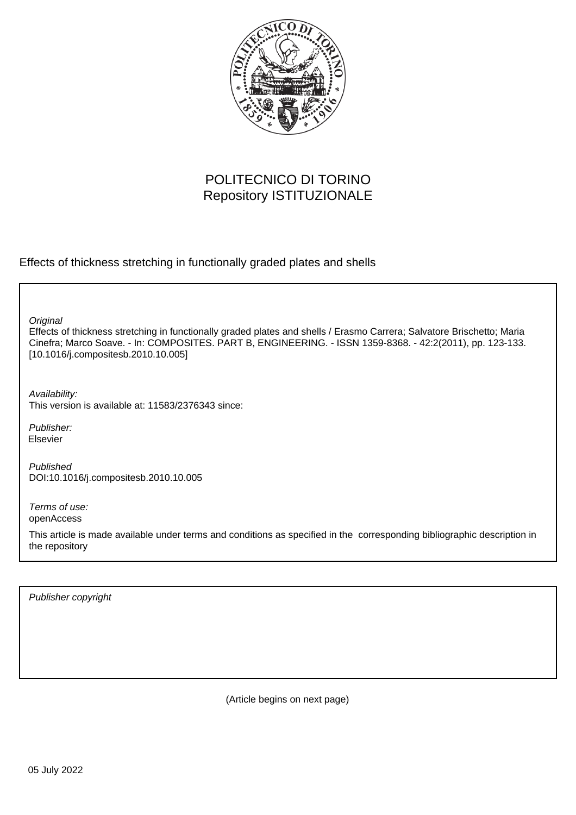

# POLITECNICO DI TORINO Repository ISTITUZIONALE

Effects of thickness stretching in functionally graded plates and shells

**Original** 

Effects of thickness stretching in functionally graded plates and shells / Erasmo Carrera; Salvatore Brischetto; Maria Cinefra; Marco Soave. - In: COMPOSITES. PART B, ENGINEERING. - ISSN 1359-8368. - 42:2(2011), pp. 123-133. [10.1016/j.compositesb.2010.10.005]

Availability: This version is available at: 11583/2376343 since:

Publisher: Elsevier

Published DOI:10.1016/j.compositesb.2010.10.005

Terms of use: openAccess

This article is made available under terms and conditions as specified in the corresponding bibliographic description in the repository

Publisher copyright

(Article begins on next page)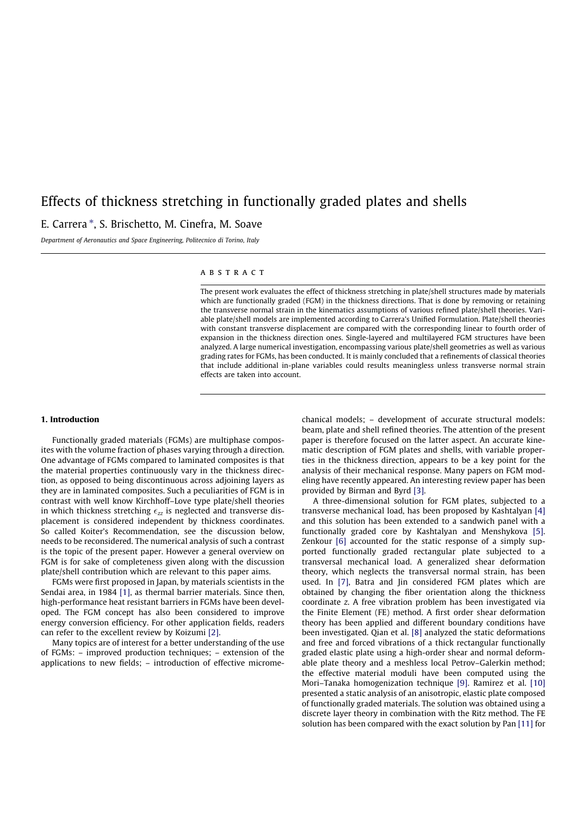# Effects of thickness stretching in functionally graded plates and shells

# E. Carrera<sup>\*</sup>, S. Brischetto, M. Cinefra, M. Soave

Department of Aeronautics and Space Engineering, Politecnico di Torino, Italy

#### **ABSTRACT**

The present work evaluates the effect of thickness stretching in plate/shell structures made by materials which are functionally graded (FGM) in the thickness directions. That is done by removing or retaining the transverse normal strain in the kinematics assumptions of various refined plate/shell theories. Variable plate/shell models are implemented according to Carrera's Unified Formulation. Plate/shell theories with constant transverse displacement are compared with the corresponding linear to fourth order of expansion in the thickness direction ones. Single-layered and multilayered FGM structures have been analyzed. A large numerical investigation, encompassing various plate/shell geometries as well as various grading rates for FGMs, has been conducted. It is mainly concluded that a refinements of classical theories that include additional in-plane variables could results meaningless unless transverse normal strain effects are taken into account.

#### 1. Introduction

Functionally graded materials (FGMs) are multiphase composites with the volume fraction of phases varying through a direction. One advantage of FGMs compared to laminated composites is that the material properties continuously vary in the thickness direction, as opposed to being discontinuous across adjoining layers as they are in laminated composites. Such a peculiarities of FGM is in contrast with well know Kirchhoff–Love type plate/shell theories in which thickness stretching  $\epsilon_{zz}$  is neglected and transverse displacement is considered independent by thickness coordinates. So called Koiter's Recommendation, see the discussion below, needs to be reconsidered. The numerical analysis of such a contrast is the topic of the present paper. However a general overview on FGM is for sake of completeness given along with the discussion plate/shell contribution which are relevant to this paper aims.

FGMs were first proposed in Japan, by materials scientists in the Sendai area, in 1984 [1], as thermal barrier materials. Since then, high-performance heat resistant barriers in FGMs have been developed. The FGM concept has also been considered to improve energy conversion efficiency. For other application fields, readers can refer to the excellent review by Koizumi [2].

Many topics are of interest for a better understanding of the use of FGMs: – improved production techniques; – extension of the applications to new fields; – introduction of effective micromechanical models; – development of accurate structural models: beam, plate and shell refined theories. The attention of the present paper is therefore focused on the latter aspect. An accurate kinematic description of FGM plates and shells, with variable properties in the thickness direction, appears to be a key point for the analysis of their mechanical response. Many papers on FGM modeling have recently appeared. An interesting review paper has been provided by Birman and Byrd [3].

A three-dimensional solution for FGM plates, subjected to a transverse mechanical load, has been proposed by Kashtalyan [4] and this solution has been extended to a sandwich panel with a functionally graded core by Kashtalyan and Menshykova [5]. Zenkour [6] accounted for the static response of a simply supported functionally graded rectangular plate subjected to a transversal mechanical load. A generalized shear deformation theory, which neglects the transversal normal strain, has been used. In [7], Batra and Jin considered FGM plates which are obtained by changing the fiber orientation along the thickness coordinate z. A free vibration problem has been investigated via the Finite Element (FE) method. A first order shear deformation theory has been applied and different boundary conditions have been investigated. Qian et al. [8] analyzed the static deformations and free and forced vibrations of a thick rectangular functionally graded elastic plate using a high-order shear and normal deformable plate theory and a meshless local Petrov–Galerkin method; the effective material moduli have been computed using the Mori–Tanaka homogenization technique [9]. Ramirez et al. [10] presented a static analysis of an anisotropic, elastic plate composed of functionally graded materials. The solution was obtained using a discrete layer theory in combination with the Ritz method. The FE solution has been compared with the exact solution by Pan [11] for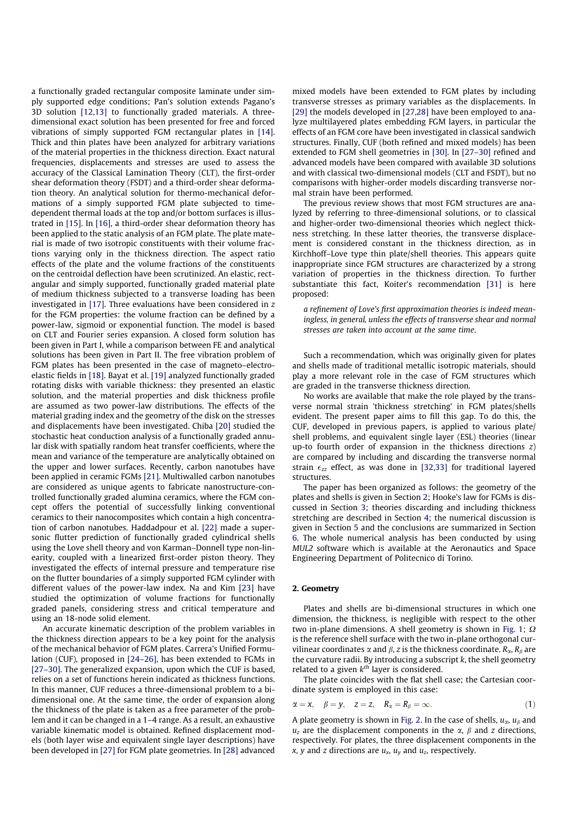a functionally graded rectangular composite laminate under simply supported edge conditions; Pan's solution extends Pagano's 3D solution [12,13] to functionally graded materials. A threedimensional exact solution has been presented for free and forced vibrations of simply supported FGM rectangular plates in [14]. Thick and thin plates have been analyzed for arbitrary variations of the material properties in the thickness direction. Exact natural frequencies, displacements and stresses are used to assess the accuracy of the Classical Lamination Theory (CLT), the first-order shear deformation theory (FSDT) and a third-order shear deformation theory. An analytical solution for thermo-mechanical deformations of a simply supported FGM plate subjected to timedependent thermal loads at the top and/or bottom surfaces is illustrated in [15]. In [16], a third-order shear deformation theory has been applied to the static analysis of an FGM plate. The plate material is made of two isotropic constituents with their volume fractions varying only in the thickness direction. The aspect ratio effects of the plate and the volume fractions of the constituents on the centroidal deflection have been scrutinized. An elastic, rectangular and simply supported, functionally graded material plate of medium thickness subjected to a transverse loading has been investigated in [17]. Three evaluations have been considered in z for the FGM properties: the volume fraction can be defined by a power-law, sigmoid or exponential function. The model is based on CLT and Fourier series expansion. A closed form solution has been given in Part I, while a comparison between FE and analytical solutions has been given in Part II. The free vibration problem of FGM plates has been presented in the case of magneto–electroelastic fields in [18]. Bayat et al. [19] analyzed functionally graded rotating disks with variable thickness: they presented an elastic solution, and the material properties and disk thickness profile are assumed as two power-law distributions. The effects of the material grading index and the geometry of the disk on the stresses and displacements have been investigated. Chiba [20] studied the stochastic heat conduction analysis of a functionally graded annular disk with spatially random heat transfer coefficients, where the mean and variance of the temperature are analytically obtained on the upper and lower surfaces. Recently, carbon nanotubes have been applied in ceramic FGMs [21]. Multiwalled carbon nanotubes are considered as unique agents to fabricate nanostructure-controlled functionally graded alumina ceramics, where the FGM concept offers the potential of successfully linking conventional ceramics to their nanocomposites which contain a high concentration of carbon nanotubes. Haddadpour et al. [22] made a supersonic flutter prediction of functionally graded cylindrical shells using the Love shell theory and von Karman–Donnell type non-linearity, coupled with a linearized first-order piston theory. They investigated the effects of internal pressure and temperature rise on the flutter boundaries of a simply supported FGM cylinder with different values of the power-law index. Na and Kim [23] have studied the optimization of volume fractions for functionally graded panels, considering stress and critical temperature and using an 18-node solid element.

An accurate kinematic description of the problem variables in the thickness direction appears to be a key point for the analysis of the mechanical behavior of FGM plates. Carrera's Unified Formulation (CUF), proposed in [24–26], has been extended to FGMs in [27–30]. The generalized expansion, upon which the CUF is based, relies on a set of functions herein indicated as thickness functions. In this manner, CUF reduces a three-dimensional problem to a bidimensional one. At the same time, the order of expansion along the thickness of the plate is taken as a free parameter of the problem and it can be changed in a 1–4 range. As a result, an exhaustive variable kinematic model is obtained. Refined displacement models (both layer wise and equivalent single layer descriptions) have been developed in [27] for FGM plate geometries. In [28] advanced mixed models have been extended to FGM plates by including transverse stresses as primary variables as the displacements. In [29] the models developed in [27,28] have been employed to analyze multilayered plates embedding FGM layers, in particular the effects of an FGM core have been investigated in classical sandwich structures. Finally, CUF (both refined and mixed models) has been extended to FGM shell geometries in [30]. In [27–30] refined and advanced models have been compared with available 3D solutions and with classical two-dimensional models (CLT and FSDT), but no comparisons with higher-order models discarding transverse normal strain have been performed.

The previous review shows that most FGM structures are analyzed by referring to three-dimensional solutions, or to classical and higher-order two-dimensional theories which neglect thickness stretching. In these latter theories, the transverse displacement is considered constant in the thickness direction, as in Kirchhoff–Love type thin plate/shell theories. This appears quite inappropriate since FGM structures are characterized by a strong variation of properties in the thickness direction. To further substantiate this fact, Koiter's recommendation [31] is here proposed:

a refinement of Love's first approximation theories is indeed meaningless, in general, unless the effects of transverse shear and normal stresses are taken into account at the same time.

Such a recommendation, which was originally given for plates and shells made of traditional metallic isotropic materials, should play a more relevant role in the case of FGM structures which are graded in the transverse thickness direction.

No works are available that make the role played by the transverse normal strain 'thickness stretching' in FGM plates/shells evident. The present paper aims to fill this gap. To do this, the CUF, developed in previous papers, is applied to various plate/ shell problems, and equivalent single layer (ESL) theories (linear up-to fourth order of expansion in the thickness directions  $z$ ) are compared by including and discarding the transverse normal strain  $\epsilon_{zz}$  effect, as was done in [32,33] for traditional layered structures.

The paper has been organized as follows: the geometry of the plates and shells is given in Section 2; Hooke's law for FGMs is discussed in Section 3; theories discarding and including thickness stretching are described in Section 4; the numerical discussion is given in Section 5 and the conclusions are summarized in Section 6. The whole numerical analysis has been conducted by using MUL2 software which is available at the Aeronautics and Space Engineering Department of Politecnico di Torino.

#### 2. Geometry

Plates and shells are bi-dimensional structures in which one dimension, the thickness, is negligible with respect to the other two in-plane dimensions. A shell geometry is shown in Fig. 1;  $\Omega$ is the reference shell surface with the two in-plane orthogonal curvilinear coordinates  $\alpha$  and  $\beta$ , z is the thickness coordinate.  $R_{\alpha}$ ,  $R_{\beta}$  are the curvature radii. By introducing a subscript  $k$ , the shell geometry related to a given  $k^{th}$  layer is considered.

The plate coincides with the flat shell case; the Cartesian coordinate system is employed in this case:

$$
\alpha = x, \quad \beta = y, \quad z = z, \quad R_{\alpha} = R_{\beta} = \infty. \tag{1}
$$

A plate geometry is shown in Fig. 2. In the case of shells,  $u_{\alpha}$ ,  $u_{\beta}$  and  $u<sub>z</sub>$  are the displacement components in the  $\alpha$ ,  $\beta$  and z directions, respectively. For plates, the three displacement components in the x, y and z directions are  $u_x$ ,  $u_y$  and  $u_z$ , respectively.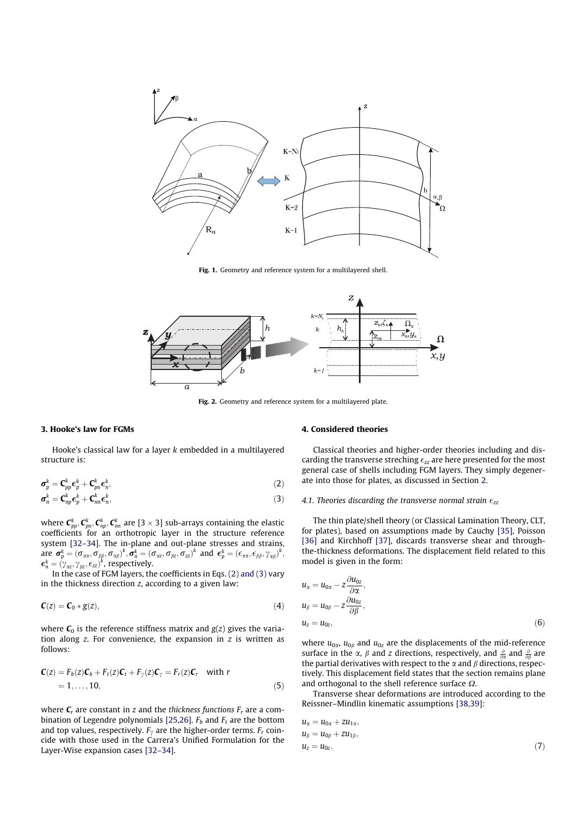

Fig. 1. Geometry and reference system for a multilayered shell.



Fig. 2. Geometry and reference system for a multilayered plate.

#### 3. Hooke's law for FGMs

Hooke's classical law for a layer  $k$  embedded in a multilayered structure is:

$$
\boldsymbol{\sigma}_p^k = \mathbf{C}_{pp}^k \boldsymbol{\epsilon}_p^k + \mathbf{C}_{pn}^k \boldsymbol{\epsilon}_n^k, \tag{2}
$$

$$
\boldsymbol{\sigma}_n^k = \mathbf{C}_{np}^k \boldsymbol{\epsilon}_p^k + \mathbf{C}_{nn}^k \boldsymbol{\epsilon}_n^k, \tag{3}
$$

where  $\bm{\mathsf{C}}_{pp}^k$ ,  $\bm{\mathsf{C}}_{pn}^k$ ,  $\bm{\mathsf{C}}_{np}^k$ , are [3  $\times$  3] sub-arrays containing the elastic coefficients for an orthotropic layer in the structure reference system [32–34]. The in-plane and out-plane stresses and strains, are  $\bm{\sigma}^k_p = (\sigma_{\alpha\alpha}, \sigma_{\beta\beta}, \sigma_{\alpha\beta})^k, \bm{\sigma}^k_n = (\sigma_{\alpha z}, \sigma_{\beta z}, \sigma_{zz})^k$  and  $\bm{\epsilon}^k_p = (\epsilon_{\alpha\alpha}, \epsilon_{\beta\beta}, \gamma_{\alpha\beta})^k,$  $\boldsymbol{\epsilon}_n^k = (\gamma_{\alpha z}, \gamma_{\beta z}, \epsilon_{z z})^k$ , respectively.

In the case of FGM layers, the coefficients in Eqs. (2) and (3) vary in the thickness direction z, according to a given law:

$$
\mathbf{C}(z) = \mathbf{C}_0 * g(z),\tag{4}
$$

where  $C_0$  is the reference stiffness matrix and  $g(z)$  gives the variation along  $z$ . For convenience, the expansion in  $z$  is written as follows:

$$
\mathbf{C}(z) = F_b(z)\mathbf{C}_b + F_t(z)\mathbf{C}_t + F_{\gamma}(z)\mathbf{C}_{\gamma} = F_r(z)\mathbf{C}_r \text{ with } r
$$
  
= 1, ..., 10, (5)

where  $C_r$  are constant in z and the thickness functions  $F_r$  are a combination of Legendre polynomials [25,26].  $F_b$  and  $F_t$  are the bottom and top values, respectively.  $F_v$  are the higher-order terms.  $F_r$  coincide with those used in the Carrera's Unified Formulation for the Layer-Wise expansion cases [32–34].

#### 4. Considered theories

Classical theories and higher-order theories including and discarding the transverse streching  $\epsilon_{zz}$  are here presented for the most general case of shells including FGM layers. They simply degenerate into those for plates, as discussed in Section 2.

## 4.1. Theories discarding the transverse normal strain  $\epsilon_{zz}$

The thin plate/shell theory (or Classical Lamination Theory, CLT, for plates), based on assumptions made by Cauchy [35], Poisson [36] and Kirchhoff [37], discards transverse shear and throughthe-thickness deformations. The displacement field related to this model is given in the form:

$$
u_{\alpha} = u_{0\alpha} - z \frac{\partial u_{0z}}{\partial \alpha},
$$
  
\n
$$
u_{\beta} = u_{0\beta} - z \frac{\partial u_{0z}}{\partial \beta},
$$
  
\n
$$
u_{z} = u_{0z},
$$
\n(6)

where  $u_{0\alpha}$ ,  $u_{0\beta}$  and  $u_{0z}$  are the displacements of the mid-reference surface in the  $\alpha$ ,  $\beta$  and  $z$  directions, respectively, and  $\frac{\partial}{\partial \alpha}$  and  $\frac{\partial}{\partial \beta}$  are the partial derivatives with respect to the  $\alpha$  and  $\beta$  directions, respectively. This displacement field states that the section remains plane and orthogonal to the shell reference surface  $\Omega$ .

Transverse shear deformations are introduced according to the Reissner–Mindlin kinematic assumptions [38,39]:

$$
u_{\alpha} = u_{0\alpha} + z u_{1\alpha},
$$
  
\n
$$
u_{\beta} = u_{0\beta} + z u_{1\beta},
$$
  
\n
$$
u_{z} = u_{0z}.
$$
\n(7)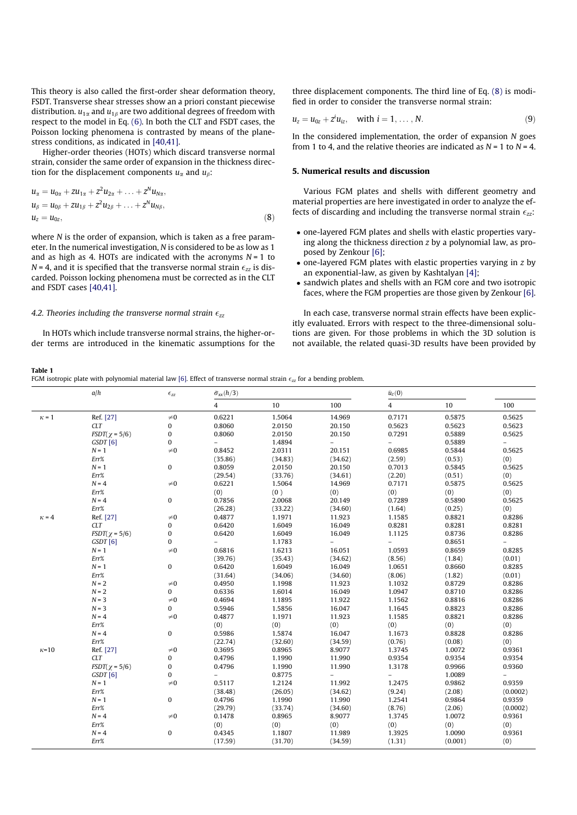This theory is also called the first-order shear deformation theory, FSDT. Transverse shear stresses show an a priori constant piecewise distribution.  $u_{1\alpha}$  and  $u_{1\beta}$  are two additional degrees of freedom with respect to the model in Eq. (6). In both the CLT and FSDT cases, the Poisson locking phenomena is contrasted by means of the planestress conditions, as indicated in [40,41].

Higher-order theories (HOTs) which discard transverse normal strain, consider the same order of expansion in the thickness direction for the displacement components  $u_{\alpha}$  and  $u_{\beta}$ :

$$
u_{\alpha} = u_{0\alpha} + zu_{1\alpha} + z^2 u_{2\alpha} + \dots + z^N u_{N\alpha},
$$
  
\n
$$
u_{\beta} = u_{0\beta} + zu_{1\beta} + z^2 u_{2\beta} + \dots + z^N u_{N\beta},
$$
  
\n
$$
u_{z} = u_{0z},
$$
\n(8)

where N is the order of expansion, which is taken as a free parameter. In the numerical investigation, N is considered to be as low as 1 and as high as 4. HOTs are indicated with the acronyms  $N = 1$  to  $N = 4$ , and it is specified that the transverse normal strain  $\epsilon_{zz}$  is discarded. Poisson locking phenomena must be corrected as in the CLT and FSDT cases [40,41].

## 4.2. Theories including the transverse normal strain  $\epsilon_{zz}$

Table 1

In HOTs which include transverse normal strains, the higher-order terms are introduced in the kinematic assumptions for the

FGM isotropic plate with polynomial material law [6]. Effect of transverse normal strain  $\epsilon_{zz}$  for a bending problem.

three displacement components. The third line of Eq. (8) is modified in order to consider the transverse normal strain:

$$
u_z = u_{0z} + z^i u_{iz}, \text{ with } i = 1, ..., N. \tag{9}
$$

In the considered implementation, the order of expansion N goes from 1 to 4, and the relative theories are indicated as  $N = 1$  to  $N = 4$ .

#### 5. Numerical results and discussion

Various FGM plates and shells with different geometry and material properties are here investigated in order to analyze the effects of discarding and including the transverse normal strain  $\epsilon_{zz}$ :

- one-layered FGM plates and shells with elastic properties varying along the thickness direction z by a polynomial law, as proposed by Zenkour [6];
- one-layered FGM plates with elastic properties varying in z by an exponential-law, as given by Kashtalyan [4];
- sandwich plates and shells with an FGM core and two isotropic faces, where the FGM properties are those given by Zenkour [6].

In each case, transverse normal strain effects have been explicitly evaluated. Errors with respect to the three-dimensional solutions are given. For those problems in which the 3D solution is not available, the related quasi-3D results have been provided by

#### $a/h$   $\epsilon$ zz  $\bar{\sigma}_{xx}(h/3)$  u  $\bar{u}_z(0)$ 4 10 100 4 10 100  $\kappa$  = 1 Ref. [27]  $\neq$  60 0.6221 1.5064 14.969 0.7171 0.5875 0.5625 CLT 0 0.8060 2.0150 20.150 0.5623 0.5623 0.5623  $FSDT(\chi = 5/6)$  0 0.8060 2.0150 20.150 0.7291 0.5889 0.5625 GSDT [6] 0 – 1.4894 – – 0.5889 –  $N = 1$   $\neq 0$   $0.8452$   $2.0311$   $20.151$   $0.6985$   $0.5844$   $0.5625$ Err% (35.86) (34.83) (34.62) (2.59) (0.53) (0) N = 1 0 0.8059 2.0150 20.150 0.7013 0.5845 0.5625 Err% (29.54) (33.76) (34.61) (2.20) (0.51) (0)  $N = 4$   $\neq 0$   $0.6221$   $1.5064$   $14.969$   $0.7171$   $0.5875$   $0.5625$ Err% (0) (0) (0) (0) (0) (0) (0) (0) N = 4 0 0.7856 2.0068 20.149 0.7289 0.5890 0.5625 Err% (26.28) (33.22) (34.60) (1.64) (0.25) (0)  $\kappa$  = 4 Ref. [27]  $\neq$  0 0.4877 1.1971 11.923 1.1585 0.8821 0.8286 CLT 0 0.6420 1.6049 16.049 0.8281 0.8281 0.8281  $FSDT(\chi = 5/6)$  0 0.6420 1.6049 16.049 1.1125 0.8736 0.8286 GSDT [6] 0 – 1.1783 – – 0.8651 –  $N=1$   $\neq 0$   $0.6816$   $1.6213$   $16.051$   $1.0593$   $0.8659$   $0.8285$ Err% (39.76) (35.43) (34.62) (8.56) (1.84) (0.01) N = 1 0 0.6420 1.6049 16.049 1.0651 0.8660 0.8285 Err% (31.64) (34.06) (34.60) (8.06) (1.82) (0.01)  $N=2$   $\neq$   $0$  0.4950 1.1998 11.923 1.1032 0.8729 0.8286 N = 2 0 0.6336 1.6014 16.049 1.0947 0.8710 0.8286  $N=3$   $\neq 0$  0.4694 1.1895 11.922 1.1562 0.8816 0.8286 N = 3 0 0.5946 1.5856 16.047 1.1645 0.8823 0.8286  $N = 4$   $\neq 0$  0.4877 1.1971 11.923 1.1585 0.8821 0.8286 Err% (0) (0) (0) (0) (0) (0) N = 4 0 0.5986 1.5874 16.047 1.1673 0.8828 0.8286 Err% (22.74) (32.60) (34.59) (0.76) (0.08) (0)  $\kappa$ =10 Ref. [27]  $\neq$ 0 0.3695 0.8965 8.9077 1.3745 1.0072 0.9361 CLT 0 0.4796 1.1990 11.990 0.9354 0.9354 0.9354  $FSDT(\chi = 5/6)$  0 0.4796 1.1990 11.990 1.3178 0.9966 0.9360 GSDT [6] 0 – 0.8775 – – 1.0089 –  $N = 1$   $\neq 0$   $0.5117$   $1.2124$   $11.992$   $1.2475$   $0.9862$   $0.9359$ Err% (38.48) (26.05) (34.62) (9.24) (2.08) (0.0002) N = 1 0 0.4796 1.1990 11.990 1.2541 0.9864 0.9359 Err% (29.79) (33.74) (34.60) (8.76) (2.06) (0.0002)  $N = 4$   $\neq 0$  0.1478 0.8965 8.9077 1.3745 1.0072 0.9361 Err% (0) (0) (0) (0) (0) (0) (0) (0) (0) N = 4 0 0.4345 1.1807 11.989 1.3925 1.0090 0.9361 Err% (17.59) (31.70) (34.59) (1.31) (0.001) (0)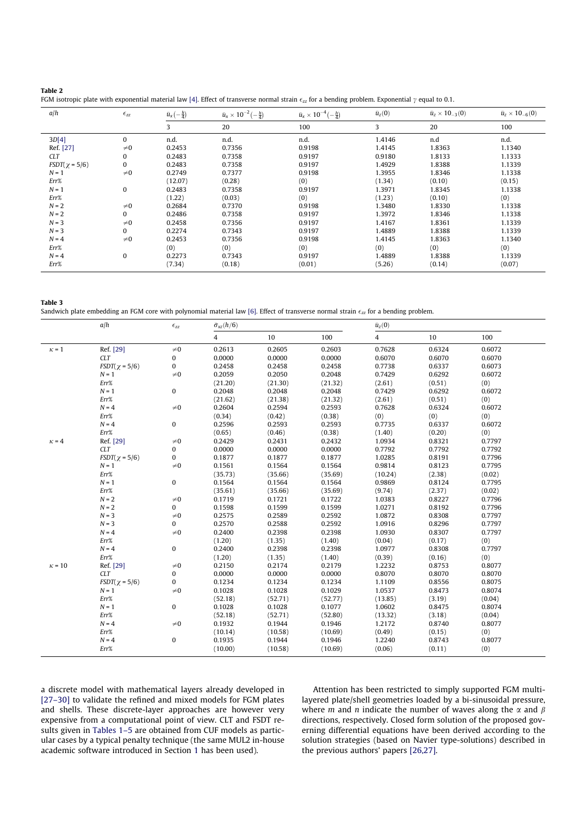#### Table 2

FGM isotropic plate with exponential material law [4]. Effect of transverse normal strain  $\epsilon_{zz}$  for a bending problem. Exponential  $\gamma$  equal to 0.1.

| a/h                | $\epsilon_{zz}$ | $\bar{u}_x(-\frac{h}{4})$<br>$\bar{u}_x \times 10^{-2} (-\frac{h}{4})$ |        | $\bar{u}_x \times 10^{-4} (-\frac{h}{4})$ | $\bar{u}_z(0)$ | $\bar{u}_z \times 10^{-3}(0)$ | $\bar{u}_z \times 10_{-6}(0)$ |  |
|--------------------|-----------------|------------------------------------------------------------------------|--------|-------------------------------------------|----------------|-------------------------------|-------------------------------|--|
|                    |                 | 3                                                                      | 20     | 100                                       | 3              | 20                            | 100                           |  |
| 3D[4]              | 0               | n.d.                                                                   | n.d.   | n.d.                                      | 1.4146         | n.d                           | n.d.                          |  |
| Ref. [27]          | $\neq 0$        | 0.2453                                                                 | 0.7356 | 0.9198                                    | 1.4145         | 1.8363                        | 1.1340                        |  |
| <b>CLT</b>         | 0               | 0.2483                                                                 | 0.7358 | 0.9197                                    | 0.9180         | 1.8133                        | 1.1333                        |  |
| $FSDT(\chi = 5/6)$ | 0               | 0.2483                                                                 | 0.7358 | 0.9197                                    | 1.4929         | 1.8388                        | 1.1339                        |  |
| $N = 1$            | $\neq 0$        | 0.2749                                                                 | 0.7377 | 0.9198                                    | 1.3955         | 1.8346                        | 1.1338                        |  |
| Err%               |                 | (12.07)                                                                | (0.28) | (0)                                       | (1.34)         | (0.10)                        | (0.15)                        |  |
| $N = 1$            | 0               | 0.2483                                                                 | 0.7358 | 0.9197                                    | 1.3971         | 1.8345                        | 1.1338                        |  |
| Err%               |                 | (1.22)                                                                 | (0.03) | (0)                                       | (1.23)         | (0.10)                        | (0)                           |  |
| $N = 2$            | $\neq 0$        | 0.2684                                                                 | 0.7370 | 0.9198                                    | 1.3480         | 1.8330                        | 1.1338                        |  |
| $N = 2$            | 0               | 0.2486                                                                 | 0.7358 | 0.9197                                    | 1.3972         | 1.8346                        | 1.1338                        |  |
| $N = 3$            | $\neq 0$        | 0.2458                                                                 | 0.7356 | 0.9197                                    | 1.4167         | 1.8361                        | 1.1339                        |  |
| $N = 3$            | 0               | 0.2274                                                                 | 0.7343 | 0.9197                                    | 1.4889         | 1.8388                        | 1.1339                        |  |
| $N = 4$            | $\neq 0$        | 0.2453                                                                 | 0.7356 | 0.9198                                    | 1.4145         | 1.8363                        | 1.1340                        |  |
| Err%               |                 | (0)                                                                    | (0)    | (0)                                       | (0)            | (0)                           | (0)                           |  |
| $N = 4$            | 0               | 0.2273                                                                 | 0.7343 | 0.9197                                    | 1.4889         | 1.8388                        | 1.1339                        |  |
| Err%               |                 | (7.34)                                                                 | (0.18) | (0.01)                                    | (5.26)         | (0.14)                        | (0.07)                        |  |

| Table 3                                                                                                                                          |
|--------------------------------------------------------------------------------------------------------------------------------------------------|
| Sandwich plate embedding an FGM core with polynomial material law [6]. Effect of transverse normal strain $\epsilon_{zz}$ for a bending problem. |

|               | a/h                  | $\epsilon_{zz}$ | $\bar{\sigma}_{xz}$ (h/6) |         |         | $\bar{u}_z(0)$ |        |        |
|---------------|----------------------|-----------------|---------------------------|---------|---------|----------------|--------|--------|
|               |                      |                 | $\overline{4}$            | 10      | 100     | $\overline{4}$ | 10     | 100    |
| $\kappa$ = 1  | Ref. [29]            | $\neq 0$        | 0.2613                    | 0.2605  | 0.2603  | 0.7628         | 0.6324 | 0.6072 |
|               | <b>CLT</b>           | 0               | 0.0000                    | 0.0000  | 0.0000  | 0.6070         | 0.6070 | 0.6070 |
|               | $FSDT(\gamma = 5/6)$ | 0               | 0.2458                    | 0.2458  | 0.2458  | 0.7738         | 0.6337 | 0.6073 |
|               | $N = 1$              | $\neq 0$        | 0.2059                    | 0.2050  | 0.2048  | 0.7429         | 0.6292 | 0.6072 |
|               | Err%                 |                 | (21.20)                   | (21.30) | (21.32) | (2.61)         | (0.51) | (0)    |
|               | $N = 1$              | $\bf{0}$        | 0.2048                    | 0.2048  | 0.2048  | 0.7429         | 0.6292 | 0.6072 |
|               | Err%                 |                 | (21.62)                   | (21.38) | (21.32) | (2.61)         | (0.51) | (0)    |
|               | $N = 4$              | $\neq 0$        | 0.2604                    | 0.2594  | 0.2593  | 0.7628         | 0.6324 | 0.6072 |
|               | Err%                 |                 | (0.34)                    | (0.42)  | (0.38)  | (0)            | (0)    | (0)    |
|               | $N = 4$              | 0               | 0.2596                    | 0.2593  | 0.2593  | 0.7735         | 0.6337 | 0.6072 |
|               | Err%                 |                 | (0.65)                    | (0.46)  | (0.38)  | (1.40)         | (0.20) | (0)    |
| $\kappa = 4$  | Ref. [29]            | $\neq 0$        | 0.2429                    | 0.2431  | 0.2432  | 1.0934         | 0.8321 | 0.7797 |
|               | <b>CLT</b>           | 0               | 0.0000                    | 0.0000  | 0.0000  | 0.7792         | 0.7792 | 0.7792 |
|               | $FSDT(\chi = 5/6)$   | 0               | 0.1877                    | 0.1877  | 0.1877  | 1.0285         | 0.8191 | 0.7796 |
|               | $N = 1$              | $\neq 0$        | 0.1561                    | 0.1564  | 0.1564  | 0.9814         | 0.8123 | 0.7795 |
|               | Err%                 |                 | (35.73)                   | (35.66) | (35.69) | (10.24)        | (2.38) | (0.02) |
|               | $N = 1$              | 0               | 0.1564                    | 0.1564  | 0.1564  | 0.9869         | 0.8124 | 0.7795 |
|               | Err%                 |                 | (35.61)                   | (35.66) | (35.69) | (9.74)         | (2.37) | (0.02) |
|               | $N = 2$              | $\neq 0$        | 0.1719                    | 0.1721  | 0.1722  | 1.0383         | 0.8227 | 0.7796 |
|               | $N = 2$              | 0               | 0.1598                    | 0.1599  | 0.1599  | 1.0271         | 0.8192 | 0.7796 |
|               | $N = 3$              | $\neq 0$        | 0.2575                    | 0.2589  | 0.2592  | 1.0872         | 0.8308 | 0.7797 |
|               | $N = 3$              | $\mathbf{0}$    | 0.2570                    | 0.2588  | 0.2592  | 1.0916         | 0.8296 | 0.7797 |
|               | $N = 4$              | $\neq 0$        | 0.2400                    | 0.2398  | 0.2398  | 1.0930         | 0.8307 | 0.7797 |
|               | Err%                 |                 | (1.20)                    | (1.35)  | (1.40)  | (0.04)         | (0.17) | (0)    |
|               | $N = 4$              | 0               | 0.2400                    | 0.2398  | 0.2398  | 1.0977         | 0.8308 | 0.7797 |
|               | Err%                 |                 | (1.20)                    | (1.35)  | (1.40)  | (0.39)         | (0.16) | (0)    |
| $\kappa$ = 10 | Ref. [29]            | $\neq 0$        | 0.2150                    | 0.2174  | 0.2179  | 1.2232         | 0.8753 | 0.8077 |
|               | CLT                  | 0               | 0.0000                    | 0.0000  | 0.0000  | 0.8070         | 0.8070 | 0.8070 |
|               | $FSDT(\chi = 5/6)$   | 0               | 0.1234                    | 0.1234  | 0.1234  | 1.1109         | 0.8556 | 0.8075 |
|               | $N = 1$              | $\neq 0$        | 0.1028                    | 0.1028  | 0.1029  | 1.0537         | 0.8473 | 0.8074 |
|               | Err%                 |                 | (52.18)                   | (52.71) | (52.77) | (13.85)        | (3.19) | (0.04) |
|               | $N = 1$              | $\bf{0}$        | 0.1028                    | 0.1028  | 0.1077  | 1.0602         | 0.8475 | 0.8074 |
|               | Err%                 |                 | (52.18)                   | (52.71) | (52.80) | (13.32)        | (3.18) | (0.04) |
|               | $N = 4$              | $\neq 0$        | 0.1932                    | 0.1944  | 0.1946  | 1.2172         | 0.8740 | 0.8077 |
|               | Err%                 |                 | (10.14)                   | (10.58) | (10.69) | (0.49)         | (0.15) | (0)    |
|               | $N = 4$              | $\mathbf{0}$    | 0.1935                    | 0.1944  | 0.1946  | 1.2240         | 0.8743 | 0.8077 |
|               | $Err\%$              |                 | (10.00)                   | (10.58) | (10.69) | (0.06)         | (0.11) | (0)    |

a discrete model with mathematical layers already developed in [27–30] to validate the refined and mixed models for FGM plates and shells. These discrete-layer approaches are however very expensive from a computational point of view. CLT and FSDT results given in Tables 1–5 are obtained from CUF models as particular cases by a typical penalty technique (the same MUL2 in-house academic software introduced in Section 1 has been used).

Attention has been restricted to simply supported FGM multilayered plate/shell geometries loaded by a bi-sinusoidal pressure, where *m* and *n* indicate the number of waves along the  $\alpha$  and  $\beta$ directions, respectively. Closed form solution of the proposed governing differential equations have been derived according to the solution strategies (based on Navier type-solutions) described in the previous authors' papers [26,27].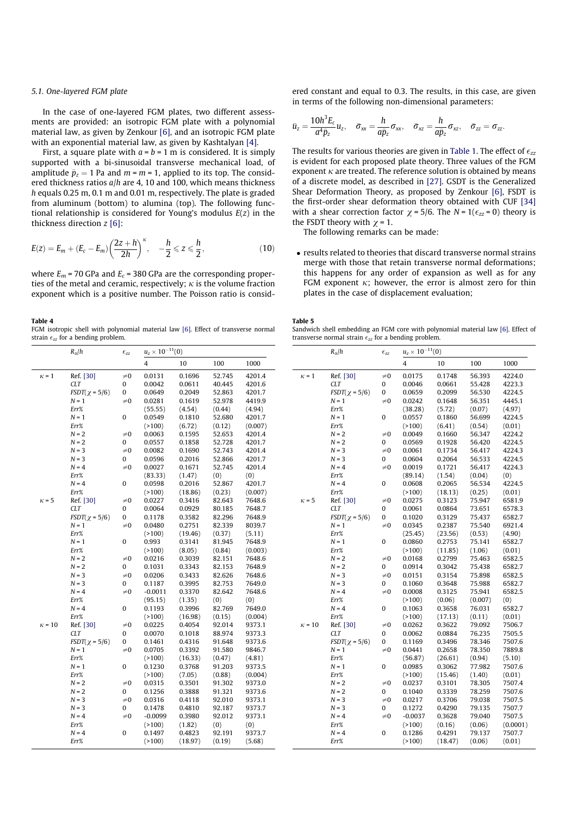#### 5.1. One-layered FGM plate

In the case of one-layered FGM plates, two different assessments are provided: an isotropic FGM plate with a polynomial material law, as given by Zenkour [6], and an isotropic FGM plate with an exponential material law, as given by Kashtalyan [4].

First, a square plate with  $a = b = 1$  m is considered. It is simply supported with a bi-sinusoidal transverse mechanical load, of amplitude  $\bar{p}_z = 1$  Pa and  $m = m = 1$ , applied to its top. The considered thickness ratios  $a/h$  are 4, 10 and 100, which means thickness h equals 0.25 m, 0.1 m and 0.01 m, respectively. The plate is graded from aluminum (bottom) to alumina (top). The following functional relationship is considered for Young's modulus  $E(z)$  in the thickness direction z [6]:

$$
E(z) = E_m + (E_c - E_m) \left(\frac{2z + h}{2h}\right)^{\kappa}, \quad -\frac{h}{2} \leq z \leq \frac{h}{2}, \tag{10}
$$

where  $E_m$  = 70 GPa and  $E_c$  = 380 GPa are the corresponding properties of the metal and ceramic, respectively;  $\kappa$  is the volume fraction exponent which is a positive number. The Poisson ratio is consid-

Table 4 FGM isotropic shell with polynomial material law [6]. Effect of transverse normal strain  $\epsilon_{zz}$  for a bending problem.

 $R_{\alpha}/h$   $\epsilon_{zz}$  $u_z \times 10^{-11}(0)$ 4 10 100 1000  $\kappa = 1$  Ref. [30]  $\neq 0$  0.0131 0.1696 52.745 4201.4 CLT 0 0.0042 0.0611 40.445 4201.6  $FSDT(\chi = 5/6)$  0 0.0649 0.2049 52.863 4201.7<br> $N = 1$   $\neq 0$  0.0281 0.1619 52.978 4419.9  $N = 1$   $\neq 0$  0.0281 0.1619 52.978 4419.9  $Err%$  (55.55) (4.54) (0.44) (4.94)<br>  $N = 1$  0 0.0549 0.1810 52.680 4201.7  $0.1810$ Err% (>100) (6.72) (0.12) (0.007)  $N = 2$   $\neq 0$  0.0063 0.1595 52.653 4201.4 N = 2 0 0.0557 0.1858 52.728 4201.7  $N = 3$   $\neq 0$  0.0082 0.1690 52.743 4201.4<br> $N = 3$  0 0.0596 0.2016 52.866 4201.7 52.866  $N = 4$   $\neq 0$  0.0027 0.1671 52.745 4201.4<br>Err% (83.33) (1.47) (0) (0) Err% (83.33) (1.47) (0) (0) N = 4 0 0.0598 0.2016 52.867 4201.7 Err% (>100)  $(18.86)$  (0.23)  $(0.007)$ <br>Ref. [30]  $\neq$  0.0227 0.3416 82.643 7648.6  $k = 5$  Ref. [30]  $\neq 0$  0.0227 0.3416 82.643 7648.6 CLT 0 0.0064 0.0929 80.185 7648.7  $FSDT(\chi = 5/6)$  0 0.1178 0.3582 82.296 7648.9<br> $N = 1$   $\neq 0$  0.0480 0.2751 82.339 8039.7  $N = 1$   $\neq 0$  0.0480 0.2751 82.339 8039.7 Err% (>100) (19.46) (0.37) (5.11) N = 1 0 0.993 0.3141 81.945 7648.9 Err% (>100) (8.05) (0.84) (0.003)  $N = 2$   $\neq 0$  0.0216 0.3039 82.151 7648.6 N = 2 0 0.1031 0.3343 82.153 7648.9  $N = 3$   $\neq 0$  0.0206 0.3433 82.626 7648.6  $N = 3$  0 0.1187 0.3995 82.753 7649.0<br> $N = 4$   $\neq 0$  -0.0011 0.3370 82.642 7648.6  $N = 4$   $\neq 0$   $-0.0011$   $0.3370$   $82.642$  7648.6  $Err%$  (95.15) (1.35) (0) (0)<br>  $N = 4$  0 0.1193 0.3996 82.769 7649.0  $0.3996$ Err% (>100) (16.98) (0.15) (0.004)  $\kappa = 10$  Ref. [30]  $\neq 0$  0.0225 0.4054 92.014 9373.1<br>CLT 0 0.0070 0.1018 88.974 9373.3 CLT 0 0.0070 0.1018 88.974 9373.3  $FSDT(\chi = 5/6)$  0 0.1461 0.4316 91.648 9373.6<br> $N = 1$   $\neq 0$  0.0705 0.3392 91.580 9846.7  $N = 1$   $\neq 0$  0.0705 0.3392 91.580 9846.7 Err% (>100) (16.33) (0.47) (4.81) N = 1 0 0.1230 0.3768 91.203 9373.5 Err% (>100) (7.05) (0.88) (0.004)  $N = 2$   $\neq 0$  0.0315 0.3501 91.302 9373.0 N = 2 0 0.1256 0.3888 91.321 9373.6  $N = 3$   $\neq 0$  0.0316 0.4118 92.010 9373.1 N = 3 0 0.1478 0.4810 92.187 9373.7  $N = 4$   $\neq 0$   $-0.0099$   $0.3980$   $92.012$   $9373.1$ Err%  $(>100)$   $(1.82)$   $(0)$   $(0)$ N = 4 0 0.1497 0.4823 92.191 9373.7 Err% (>100) (18.97) (0.19) (5.68)

ered constant and equal to 0.3. The results, in this case, are given in terms of the following non-dimensional parameters:

$$
\bar{u}_z=\frac{10h^3E_c}{a^4\bar{p}_z}u_z,\quad \bar{\sigma}_{xx}=\frac{h}{a\bar{p}_z}\sigma_{xx},\quad \bar{\sigma}_{xz}=\frac{h}{a\bar{p}_z}\sigma_{xz},\quad \bar{\sigma}_{zz}=\sigma_{zz}.
$$

The results for various theories are given in Table 1. The effect of  $\epsilon_{zz}$ is evident for each proposed plate theory. Three values of the FGM exponent  $\kappa$  are treated. The reference solution is obtained by means of a discrete model, as described in [27]. GSDT is the Generalized Shear Deformation Theory, as proposed by Zenkour [6], FSDT is the first-order shear deformation theory obtained with CUF [34] with a shear correction factor  $\chi$  = 5/6. The N = 1( $\epsilon_{zz}$  = 0) theory is the FSDT theory with  $\chi$  = 1.

The following remarks can be made:

 results related to theories that discard transverse normal strains merge with those that retain transverse normal deformations; this happens for any order of expansion as well as for any FGM exponent  $\kappa$ ; however, the error is almost zero for thin plates in the case of displacement evaluation;

Table 5

Sandwich shell embedding an FGM core with polynomial material law [6]. Effect of transverse normal strain  $\epsilon_{zz}$  for a bending problem.

|               | $R_{\alpha}/h$       | $\epsilon_{zz}$ | $u_z \times 10^{-11}(0)$ |         |         |          |  |
|---------------|----------------------|-----------------|--------------------------|---------|---------|----------|--|
|               |                      |                 | 4                        | 10      | 100     | 1000     |  |
| $\kappa = 1$  | Ref. [30]            | $\neq 0$        | 0.0175                   | 0.1748  | 56.393  | 4224.0   |  |
|               | <b>CLT</b>           | 0               | 0.0046                   | 0.0661  | 55.428  | 4223.3   |  |
|               | $FSDT(\chi = 5/6)$   | 0               | 0.0659                   | 0.2099  | 56.530  | 4224.5   |  |
|               | $N = 1$              | $\neq 0$        | 0.0242                   | 0.1648  | 56.351  | 4445.1   |  |
|               | Err%                 |                 | (38.28)                  | (5.72)  | (0.07)  | (4.97)   |  |
|               | $N = 1$              | 0               | 0.0557                   | 0.1860  | 56.699  | 4224.5   |  |
|               | Err%                 |                 | (2100)                   | (6.41)  | (0.54)  | (0.01)   |  |
|               | $N = 2$              | $\neq 0$        | 0.0049                   | 0.1660  | 56.347  | 4224.2   |  |
|               | $N = 2$              | 0               | 0.0569                   | 0.1928  | 56.420  | 4224.5   |  |
|               | $N = 3$              | $\neq 0$        | 0.0061                   | 0.1734  | 56.417  | 4224.3   |  |
|               | $N = 3$              | 0               | 0.0604                   | 0.2064  | 56.533  | 4224.5   |  |
|               | $N = 4$              | $\neq 0$        | 0.0019                   | 0.1721  | 56.417  | 4224.3   |  |
|               | Err%                 |                 | (89.14)                  | (1.54)  | (0.04)  | (0)      |  |
|               | $N = 4$              | 0               | 0.0608                   | 0.2065  | 56.534  | 4224.5   |  |
|               | Err%                 |                 | (2100)                   | (18.13) | (0.25)  | (0.01)   |  |
| $\kappa$ = 5  | Ref. [30]            | $\neq 0$        | 0.0275                   | 0.3123  | 75.947  | 6581.9   |  |
|               | <b>CLT</b>           | 0               | 0.0061                   | 0.0864  | 73.651  | 6578.3   |  |
|               | $FSDT(\chi = 5/6)$   | 0               | 0.1020                   | 0.3129  | 75.437  | 6582.7   |  |
|               | $N = 1$              | $\neq 0$        | 0.0345                   | 0.2387  | 75.540  | 6921.4   |  |
|               | Err%                 |                 | (25.45)                  | (23.56) | (0.53)  | (4.90)   |  |
|               | $N = 1$              | 0               | 0.0860                   | 0.2753  | 75.141  | 6582.7   |  |
|               | Err%                 |                 | (2100)                   | (11.85) | (1.06)  | (0.01)   |  |
|               | $N = 2$              | $\neq 0$        | 0.0168                   | 0.2799  | 75.463  | 6582.5   |  |
|               | $N = 2$              | 0               | 0.0914                   | 0.3042  | 75.438  | 6582.7   |  |
|               | $N = 3$              | $\neq 0$        | 0.0151                   | 0.3154  | 75.898  | 6582.5   |  |
|               | $N = 3$              | 0               | 0.1060                   | 0.3648  | 75.988  | 6582.7   |  |
|               | $N = 4$              | $\neq 0$        | 0.0008                   | 0.3125  | 75.941  | 6582.5   |  |
|               | Err%                 |                 | (2100)                   | (0.06)  | (0.007) | (0)      |  |
|               | $N = 4$              | 0               | 0.1063                   | 0.3658  | 76.031  | 6582.7   |  |
|               | Err%                 |                 | (>100)                   | (17.13) | (0.11)  | (0.01)   |  |
| $\kappa$ = 10 | Ref. [30]            | $\neq 0$        | 0.0262                   | 0.3622  | 79.092  | 7506.7   |  |
|               | <b>CLT</b>           | 0               | 0.0062                   | 0.0884  | 76.235  | 7505.5   |  |
|               | $FSDT(\gamma = 5/6)$ | 0               | 0.1169                   | 0.3496  | 78.346  | 7507.6   |  |
|               | $N = 1$              | $\neq 0$        | 0.0441                   | 0.2658  | 78.350  | 7889.8   |  |
|               | Err%                 |                 | (56.87)                  | (26.61) | (0.94)  | (5.10)   |  |
|               | $N = 1$              | 0               | 0.0985                   | 0.3062  | 77.982  | 7507.6   |  |
|               | Err%                 |                 | (>100)                   | (15.46) | (1.40)  | (0.01)   |  |
|               | $N = 2$              | $\neq 0$        | 0.0237                   | 0.3101  | 78.305  | 7507.4   |  |
|               | $N = 2$              | 0               | 0.1040                   | 0.3339  | 78.259  | 7507.6   |  |
|               | $N = 3$              | $\neq 0$        | 0.0217                   | 0.3706  | 79.038  | 7507.5   |  |
|               | $N = 3$              | 0               | 0.1272                   | 0.4290  | 79.135  | 7507.7   |  |
|               | $N = 4$              | $\neq 0$        | $-0.0037$                | 0.3628  | 79.040  | 7507.5   |  |
|               | Err%                 |                 | (2100)                   | (0.16)  | (0.06)  | (0.0001) |  |
|               | $N = 4$              | 0               | 0.1286                   | 0.4291  | 79.137  | 7507.7   |  |
|               | Err%                 |                 | (>100)                   | (18.47) | (0.06)  | (0.01)   |  |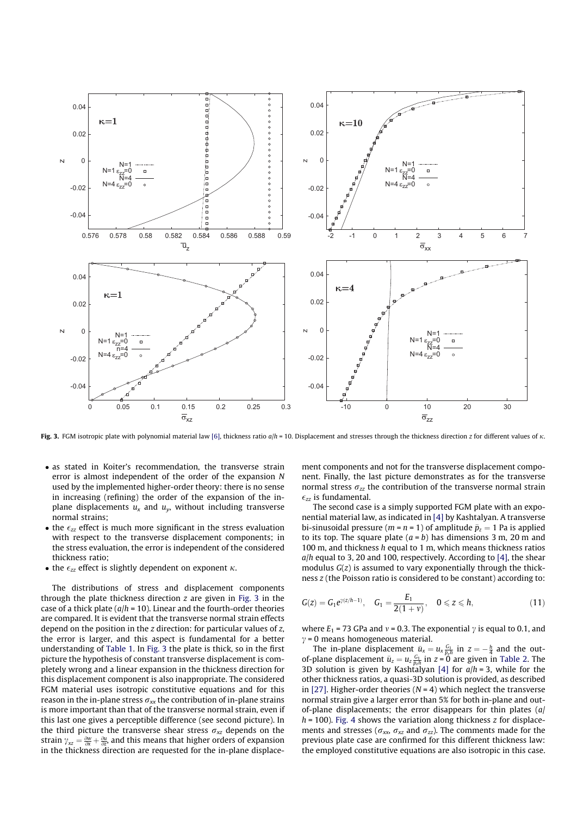

Fig. 3. FGM isotropic plate with polynomial material law [6], thickness ratio  $a/h = 10$ . Displacement and stresses through the thickness direction z for different values of  $\kappa$ .

- as stated in Koiter's recommendation, the transverse strain error is almost independent of the order of the expansion N used by the implemented higher-order theory: there is no sense in increasing (refining) the order of the expansion of the inplane displacements  $u_x$  and  $u_y$ , without including transverse normal strains;
- the  $\epsilon_{zz}$  effect is much more significant in the stress evaluation with respect to the transverse displacement components; in the stress evaluation, the error is independent of the considered thickness ratio;
- the  $\epsilon_{zz}$  effect is slightly dependent on exponent  $\kappa$ .

The distributions of stress and displacement components through the plate thickness direction z are given in Fig. 3 in the case of a thick plate ( $a/h = 10$ ). Linear and the fourth-order theories are compared. It is evident that the transverse normal strain effects depend on the position in the  $z$  direction: for particular values of  $z$ , the error is larger, and this aspect is fundamental for a better understanding of Table 1. In Fig. 3 the plate is thick, so in the first picture the hypothesis of constant transverse displacement is completely wrong and a linear expansion in the thickness direction for this displacement component is also inappropriate. The considered FGM material uses isotropic constitutive equations and for this reason in the in-plane stress  $\sigma_{xx}$  the contribution of in-plane strains is more important than that of the transverse normal strain, even if this last one gives a perceptible difference (see second picture). In the third picture the transverse shear stress  $\sigma_{xz}$  depends on the strain  $\gamma_{xz} = \frac{\partial w}{\partial x} + \frac{\partial u}{\partial z}$ , and this means that higher orders of expansion in the thickness direction are requested for the in-plane displacement components and not for the transverse displacement component. Finally, the last picture demonstrates as for the transverse normal stress  $\sigma_{zz}$  the contribution of the transverse normal strain  $\epsilon_{zz}$  is fundamental.

The second case is a simply supported FGM plate with an exponential material law, as indicated in [4] by Kashtalyan. A transverse bi-sinusoidal pressure (m = n = 1) of amplitude  $\bar{p}_z = 1$  Pa is applied to its top. The square plate  $(a = b)$  has dimensions 3 m, 20 m and 100 m, and thickness h equal to 1 m, which means thickness ratios  $a/h$  equal to 3, 20 and 100, respectively. According to [4], the shear modulus  $G(z)$  is assumed to vary exponentially through the thickness z (the Poisson ratio is considered to be constant) according to:

$$
G(z) = G_1 e^{\gamma(z/h-1)}, \quad G_1 = \frac{E_1}{2(1+\nu)}, \quad 0 \leq z \leq h,
$$
 (11)

where  $E_1$  = 73 GPa and  $v$  = 0.3. The exponential  $\gamma$  is equal to 0.1, and  $\gamma$  = 0 means homogeneous material.

The in-plane displacement  $\bar{u}_x = u_x \frac{G_1}{\bar{p}_z h}$  in  $z = -\frac{h}{4}$  and the outof-plane displacement  $\bar{u}_z = u_z \frac{G_1}{\bar{p}_z h}$  in  $z = 0$  are given in Table 2. The 3D solution is given by Kashtalyan [4] for  $a/h = 3$ , while for the other thickness ratios, a quasi-3D solution is provided, as described in [27]. Higher-order theories ( $N = 4$ ) which neglect the transverse normal strain give a larger error than 5% for both in-plane and outof-plane displacements; the error disappears for thin plates (a/  $h = 100$ ). Fig. 4 shows the variation along thickness z for displacements and stresses ( $\sigma_{xx}$ ,  $\sigma_{xz}$  and  $\sigma_{zz}$ ). The comments made for the previous plate case are confirmed for this different thickness law: the employed constitutive equations are also isotropic in this case.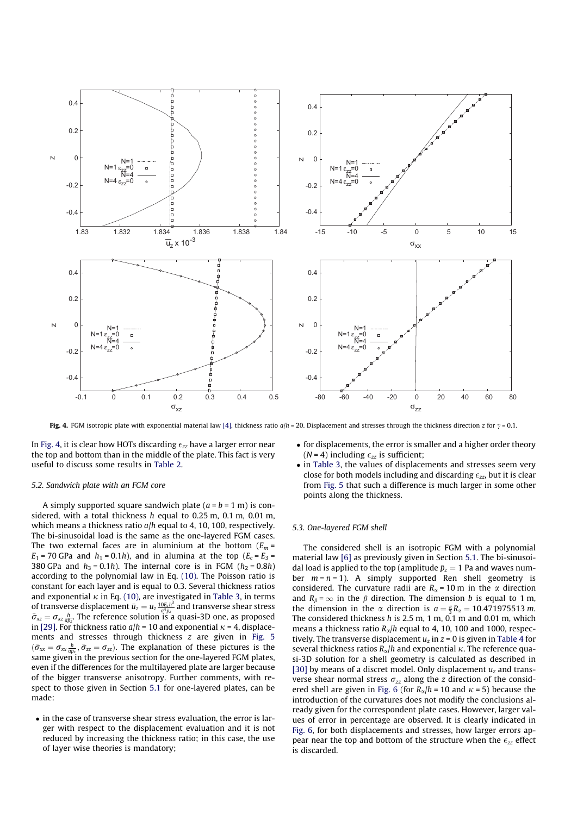

Fig. 4. FGM isotropic plate with exponential material law [4], thickness ratio  $a/h = 20$ . Displacement and stresses through the thickness direction z for  $\gamma = 0.1$ .

In Fig. 4, it is clear how HOTs discarding  $\epsilon_{zz}$  have a larger error near the top and bottom than in the middle of the plate. This fact is very useful to discuss some results in Table 2.

#### 5.2. Sandwich plate with an FGM core

A simply supported square sandwich plate  $(a = b = 1 \text{ m})$  is considered, with a total thickness h equal to 0.25 m, 0.1 m, 0.01 m, which means a thickness ratio  $a/h$  equal to 4, 10, 100, respectively. The bi-sinusoidal load is the same as the one-layered FGM cases. The two external faces are in aluminium at the bottom  $(E_m =$  $E_1$  = 70 GPa and  $h_1$  = 0.1h), and in alumina at the top ( $E_c$  =  $E_3$  = 380 GPa and  $h_3 = 0.1h$ ). The internal core is in FGM ( $h_2 = 0.8h$ ) according to the polynomial law in Eq. (10). The Poisson ratio is constant for each layer and is equal to 0.3. Several thickness ratios and exponential  $\kappa$  in Eq. (10), are investigated in Table 3, in terms of transverse displacement  $\bar{u}_z = u_z \frac{10E_c h^3}{a^4 \bar{p}_z}$  and transverse shear stress  $\bar{\sigma}_{xz} = \sigma_{xz} \frac{h}{ap_z}$ . The reference solution is a quasi-3D one, as proposed in [29]. For thickness ratio  $a/h = 10$  and exponential  $\kappa = 4$ , displacements and stresses through thickness z are given in Fig. 5  $(\bar{\sigma}_{xx} = \sigma_{xx} \frac{h}{a\bar{p}_z}, \bar{\sigma}_{zz} = \sigma_{zz})$ . The explanation of these pictures is the same given in the previous section for the one-layered FGM plates, even if the differences for the multilayered plate are larger because of the bigger transverse anisotropy. Further comments, with respect to those given in Section 5.1 for one-layered plates, can be made:

• in the case of transverse shear stress evaluation, the error is larger with respect to the displacement evaluation and it is not reduced by increasing the thickness ratio; in this case, the use of layer wise theories is mandatory;

- for displacements, the error is smaller and a higher order theory ( $N = 4$ ) including  $\epsilon_{zz}$  is sufficient;
- in Table 3, the values of displacements and stresses seem very close for both models including and discarding  $\epsilon_{zz}$ , but it is clear from Fig. 5 that such a difference is much larger in some other points along the thickness.

#### 5.3. One-layered FGM shell

The considered shell is an isotropic FGM with a polynomial material law [6] as previously given in Section 5.1. The bi-sinusoidal load is applied to the top (amplitude  $\bar{p}_z = 1$  Pa and waves number  $m = n = 1$ ). A simply supported Ren shell geometry is considered. The curvature radii are  $R_{\alpha}$  = 10 m in the  $\alpha$  direction and  $R_\beta = \infty$  in the  $\beta$  direction. The dimension b is equal to 1 m, the dimension in the  $\alpha$  direction is  $a = \frac{\pi}{3} R_{\alpha} = 10.471975513$  m. The considered thickness h is 2.5 m, 1 m, 0.1 m and 0.01 m, which means a thickness ratio  $R_\alpha/h$  equal to 4, 10, 100 and 1000, respectively. The transverse displacement  $u_z$  in  $z = 0$  is given in Table 4 for several thickness ratios  $R_{\alpha}/h$  and exponential  $\kappa$ . The reference quasi-3D solution for a shell geometry is calculated as described in [30] by means of a discret model. Only displacement  $u<sub>z</sub>$  and transverse shear normal stress  $\sigma_{zz}$  along the z direction of the considered shell are given in Fig. 6 (for  $R_\alpha/h = 10$  and  $\kappa = 5$ ) because the introduction of the curvatures does not modify the conclusions already given for the correspondent plate cases. However, larger values of error in percentage are observed. It is clearly indicated in Fig. 6, for both displacements and stresses, how larger errors appear near the top and bottom of the structure when the  $\epsilon_{zz}$  effect is discarded.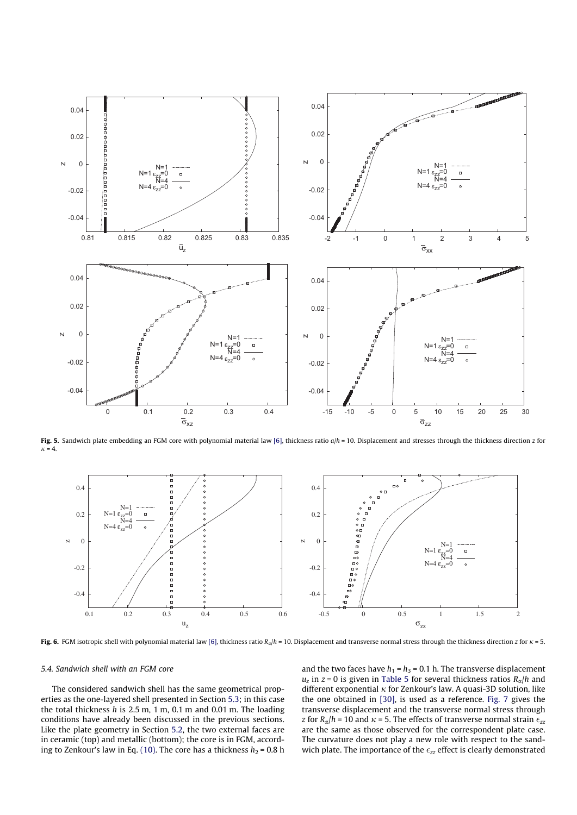

Fig. 5. Sandwich plate embedding an FGM core with polynomial material law [6], thickness ratio  $a/h = 10$ . Displacement and stresses through the thickness direction z for  $\kappa = 4.$ 



Fig. 6. FGM isotropic shell with polynomial material law [6], thickness ratio  $R_x/h = 10$ . Displacement and transverse normal stress through the thickness direction z for  $\kappa = 5$ .

#### 5.4. Sandwich shell with an FGM core

The considered sandwich shell has the same geometrical properties as the one-layered shell presented in Section 5.3; in this case the total thickness h is 2.5 m, 1 m, 0.1 m and 0.01 m. The loading conditions have already been discussed in the previous sections. Like the plate geometry in Section 5.2, the two external faces are in ceramic (top) and metallic (bottom); the core is in FGM, according to Zenkour's law in Eq. (10). The core has a thickness  $h_2 = 0.8$  h and the two faces have  $h_1 = h_3 = 0.1$  h. The transverse displacement  $u_z$  in  $z = 0$  is given in Table 5 for several thickness ratios  $R_\alpha/h$  and different exponential  $\kappa$  for Zenkour's law. A quasi-3D solution, like the one obtained in [30], is used as a reference. Fig. 7 gives the transverse displacement and the transverse normal stress through z for  $R_\alpha/h$  = 10 and  $\kappa$  = 5. The effects of transverse normal strain  $\epsilon_{zz}$ are the same as those observed for the correspondent plate case. The curvature does not play a new role with respect to the sandwich plate. The importance of the  $\epsilon_{zz}$  effect is clearly demonstrated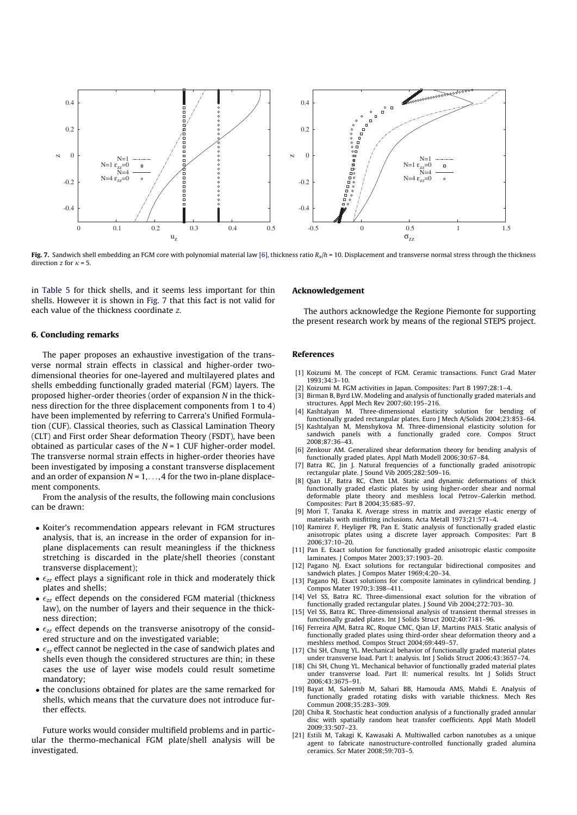

Fig. 7. Sandwich shell embedding an FGM core with polynomial material law [6], thickness ratio  $R_x/h = 10$ . Displacement and transverse normal stress through the thickness direction z for  $\kappa$  = 5.

in Table 5 for thick shells, and it seems less important for thin shells. However it is shown in Fig. 7 that this fact is not valid for each value of the thickness coordinate z.

#### 6. Concluding remarks

The paper proposes an exhaustive investigation of the transverse normal strain effects in classical and higher-order twodimensional theories for one-layered and multilayered plates and shells embedding functionally graded material (FGM) layers. The proposed higher-order theories (order of expansion N in the thickness direction for the three displacement components from 1 to 4) have been implemented by referring to Carrera's Unified Formulation (CUF). Classical theories, such as Classical Lamination Theory (CLT) and First order Shear deformation Theory (FSDT), have been obtained as particular cases of the  $N = 1$  CUF higher-order model. The transverse normal strain effects in higher-order theories have been investigated by imposing a constant transverse displacement and an order of expansion  $N = 1, \ldots, 4$  for the two in-plane displacement components.

From the analysis of the results, the following main conclusions can be drawn:

- Koiter's recommendation appears relevant in FGM structures analysis, that is, an increase in the order of expansion for inplane displacements can result meaningless if the thickness stretching is discarded in the plate/shell theories (constant transverse displacement);
- $\bullet$   $\epsilon_{zz}$  effect plays a significant role in thick and moderately thick plates and shells;
- $\bullet$   $\epsilon_{zz}$  effect depends on the considered FGM material (thickness law), on the number of layers and their sequence in the thickness direction;
- $\bullet$   $\epsilon_{zz}$  effect depends on the transverse anisotropy of the considered structure and on the investigated variable;
- $\bullet$   $\epsilon_{zz}$  effect cannot be neglected in the case of sandwich plates and shells even though the considered structures are thin; in these cases the use of layer wise models could result sometime mandatory;
- the conclusions obtained for plates are the same remarked for shells, which means that the curvature does not introduce further effects.

Future works would consider multifield problems and in particular the thermo-mechanical FGM plate/shell analysis will be investigated.

#### Acknowledgement

The authors acknowledge the Regione Piemonte for supporting the present research work by means of the regional STEPS project.

#### References

- [1] Koizumi M. The concept of FGM. Ceramic transactions. Funct Grad Mater 1993;34:3–10.
- [2] Koizumi M. FGM activities in Japan. Composites: Part B 1997;28:1–4. Birman B, Byrd LW. Modeling and analysis of functionally graded materials and structures. Appl Mech Rev 2007;60:195–216.
- [4] Kashtalyan M. Three-dimensional elasticity solution for bending of functionally graded rectangular plates. Euro J Mech A/Solids 2004;23:853–64.
- [5] Kashtalyan M, Menshykova M. Three-dimensional elasticity solution for with a functionally graded core. Compos Struct sandwich panels<br> $2008.87.36-43$
- [6] Zenkour AM. Generalized shear deformation theory for bending analysis of functionally graded plates. Appl Math Modell 2006;30:67–84.
- [7] Batra RC, Jin J. Natural frequencies of a functionally graded anisotropic rectangular plate. J Sound Vib 2005;282:509–16.
- [8] Qian LF, Batra RC, Chen LM. Static and dynamic deformations of thick functionally graded elastic plates by using higher-order shear and normal deformable plate theory and meshless local Petrov–Galerkin method. Composites: Part B 2004;35:685–97.
- [9] Mori T, Tanaka K. Average stress in matrix and average elastic energy of materials with misfitting inclusions. Acta Metall 1973;21:571–4.
- [10] Ramirez F, Heyliger PR, Pan E. Static analysis of functionally graded elastic anisotropic plates using a discrete layer approach. Composites: Part B 2006;37:10–20.
- [11] Pan E. Exact solution for functionally graded anisotropic elastic composite laminates. J Compos Mater 2003;37:1903–20.
- [12] Pagano NJ. Exact solutions for rectangular bidirectional composites and sandwich plates. J Compos Mater 1969;4:20-34.
- [13] Pagano NJ. Exact solutions for composite laminates in cylindrical bending. J Compos Mater 1970;3:398–411.
- [14] Vel SS, Batra RC. Three-dimensional exact solution for the vibration of functionally graded rectangular plates. J Sound Vib 2004;272:703–30.
- [15] Vel SS, Batra RC. Three-dimensional analysis of transient thermal stresses in functionally graded plates. Int J Solids Struct 2002;40:7181–96.
- [16] Ferreira AJM, Batra RC, Roque CMC, Qian LF, Martins PALS. Static analysis of functionally graded plates using third-order shear deformation theory and a meshless method. Compos Struct 2004;69:449–57.
- [17] Chi SH, Chung YL. Mechanical behavior of functionally graded material plates under transverse load. Part I: analysis. Int J Solids Struct 2006;43:3657–74.
- [18] Chi SH, Chung YL. Mechanical behavior of functionally graded material plates under transverse load. Part II: numerical results. Int J Solids Struct 2006;43:3675–91.
- [19] Bayat M, Saleemb M, Sahari BB, Hamouda AMS, Mahdi E. Analysis of functionally graded rotating disks with variable thickness. Mech Res Commun 2008;35:283–309.
- [20] Chiba R. Stochastic heat conduction analysis of a functionally graded annular disc with spatially random heat transfer coefficients. Appl Math Modell 2009;33:507–23.
- [21] Estili M, Takagi K, Kawasaki A. Multiwalled carbon nanotubes as a unique agent to fabricate nanostructure-controlled functionally graded alumina ceramics. Scr Mater 2008;59:703–5.